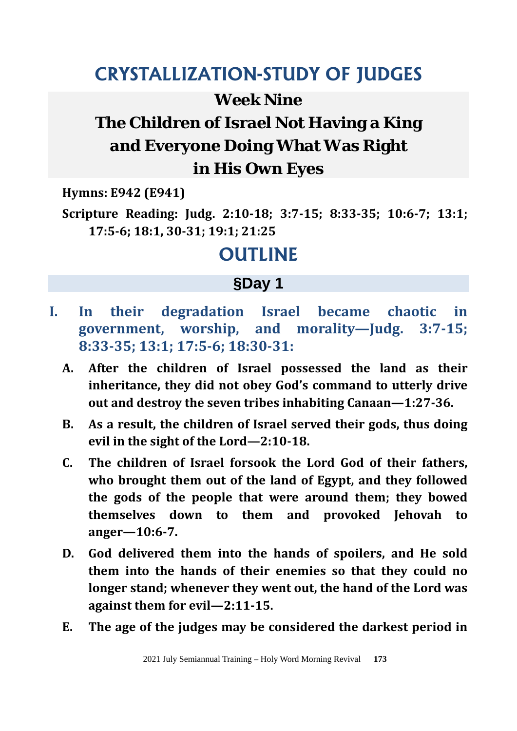# **CRYSTALLIZATION-STUDY OF JUDGES**

## **Week Nine**

# **The Children of Israel Not Having a King and Everyone Doing What Was Right in His Own Eyes**

**Hymns: E942 (E941)** 

**Scripture Reading: Judg. 2:10-18; 3:7-15; 8:33-35; 10:6-7; 13:1; 17:5-6; 18:1, 30-31; 19:1; 21:25** 

# **OUTLINE**

## **§Day 1**

- **I. In their degradation Israel became chaotic in government, worship, and morality—Judg. 3:7-15; 8:33-35; 13:1; 17:5-6; 18:30-31:**
	- **A. After the children of Israel possessed the land as their inheritance, they did not obey God's command to utterly drive out and destroy the seven tribes inhabiting Canaan—1:27-36.**
	- **B. As a result, the children of Israel served their gods, thus doing evil in the sight of the Lord—2:10-18.**
	- **C. The children of Israel forsook the Lord God of their fathers, who brought them out of the land of Egypt, and they followed the gods of the people that were around them; they bowed themselves down to them and provoked Jehovah to anger—10:6-7.**
	- **D. God delivered them into the hands of spoilers, and He sold them into the hands of their enemies so that they could no longer stand; whenever they went out, the hand of the Lord was against them for evil—2:11-15.**
	- **E. The age of the judges may be considered the darkest period in**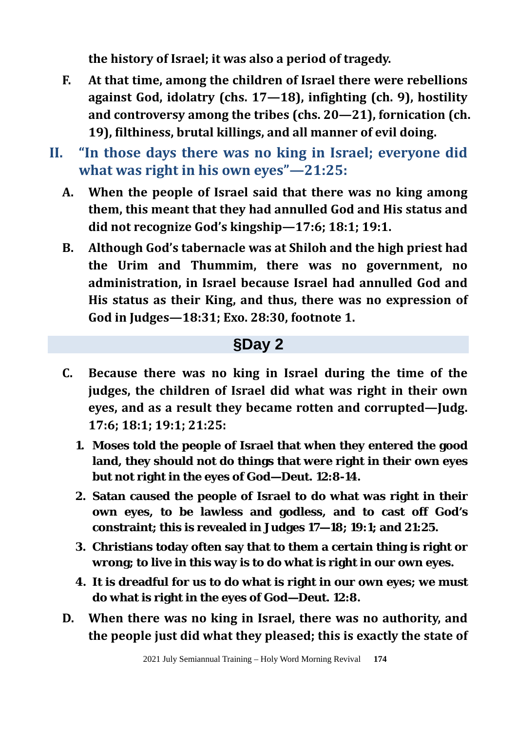**the history of Israel; it was also a period of tragedy.**

- **F. At that time, among the children of Israel there were rebellions against God, idolatry (chs. 17—18), infighting (ch. 9), hostility and controversy among the tribes (chs. 20—21), fornication (ch. 19), filthiness, brutal killings, and all manner of evil doing.**
- **II. "In those days there was no king in Israel; everyone did what was right in his own eyes"—21:25:**
	- **A. When the people of Israel said that there was no king among them, this meant that they had annulled God and His status and did not recognize God's kingship—17:6; 18:1; 19:1.**
	- **B. Although God's tabernacle was at Shiloh and the high priest had the Urim and Thummim, there was no government, no administration, in Israel because Israel had annulled God and His status as their King, and thus, there was no expression of God in Judges—18:31; Exo. 28:30, footnote 1.**

## **§Day 2**

- **C. Because there was no king in Israel during the time of the judges, the children of Israel did what was right in their own eyes, and as a result they became rotten and corrupted—Judg. 17:6; 18:1; 19:1; 21:25:** 
	- **1. Moses told the people of Israel that when they entered the good land, they should not do things that were right in their own eyes but not right in the eyes of God—Deut. 12:8-14.**
	- **2. Satan caused the people of Israel to do what was right in their own eyes, to be lawless and godless, and to cast off God's constraint; this is revealed in Judges 17—18; 19:1; and 21:25.**
	- **3. Christians today often say that to them a certain thing is right or wrong; to live in this way is to do what is right in our own eyes.**
	- **4. It is dreadful for us to do what is right in our own eyes; we must do what is right in the eyes of God—Deut. 12:8.**
- **D. When there was no king in Israel, there was no authority, and the people just did what they pleased; this is exactly the state of**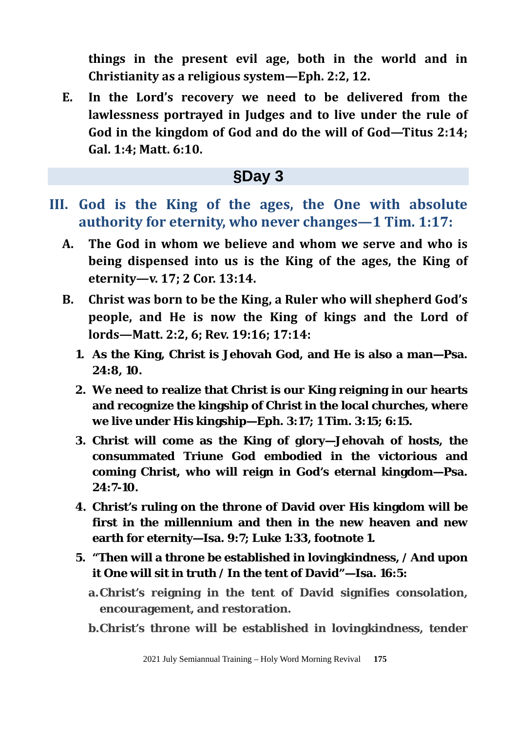**things in the present evil age, both in the world and in Christianity as a religious system—Eph. 2:2, 12.** 

**E. In the Lord's recovery we need to be delivered from the lawlessness portrayed in Judges and to live under the rule of God in the kingdom of God and do the will of God—Titus 2:14; Gal. 1:4; Matt. 6:10.** 

#### **§Day 3**

- **III. God is the King of the ages, the One with absolute authority for eternity, who never changes—1 Tim. 1:17:**
	- **A. The God in whom we believe and whom we serve and who is being dispensed into us is the King of the ages, the King of eternity—v. 17; 2 Cor. 13:14.**
	- **B. Christ was born to be the King, a Ruler who will shepherd God's people, and He is now the King of kings and the Lord of lords—Matt. 2:2, 6; Rev. 19:16; 17:14:** 
		- **1. As the King, Christ is Jehovah God, and He is also a man—Psa. 24:8, 10.**
		- **2. We need to realize that Christ is our King reigning in our hearts and recognize the kingship of Christ in the local churches, where we live under His kingship—Eph. 3:17; 1 Tim. 3:15; 6:15.**
		- **3. Christ will come as the King of glory—Jehovah of hosts, the consummated Triune God embodied in the victorious and coming Christ, who will reign in God's eternal kingdom—Psa. 24:7-10.**
		- **4. Christ's ruling on the throne of David over His kingdom will be first in the millennium and then in the new heaven and new earth for eternity—Isa. 9:7; Luke 1:33, footnote 1.**
		- **5. "Then will a throne be established in lovingkindness, / And upon it One will sit in truth / In the tent of David"—Isa. 16:5:**
			- **a.Christ's reigning in the tent of David signifies consolation, encouragement, and restoration.**
			- **b. Christ's throne will be established in lovingkindness, tender**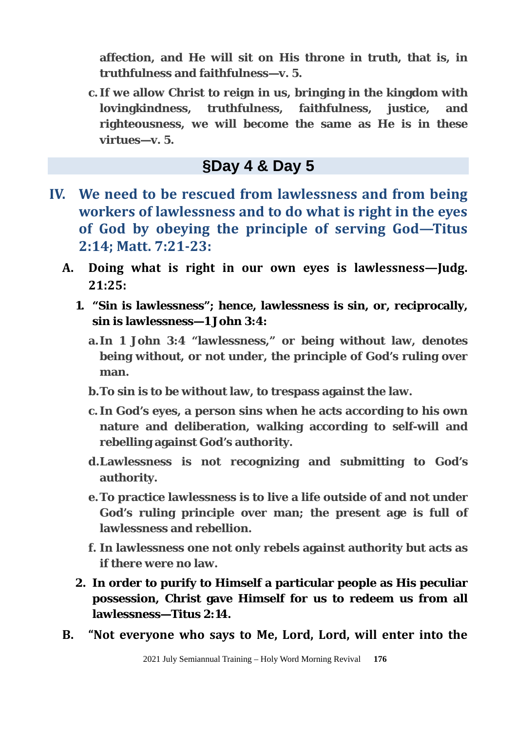**affection, and He will sit on His throne in truth, that is, in truthfulness and faithfulness—v. 5.**

**c. If we allow Christ to reign in us, bringing in the kingdom with lovingkindness, truthfulness, faithfulness, justice, and righteousness, we will become the same as He is in these virtues—v. 5.** 

#### **§Day 4 & Day 5**

- **IV. We need to be rescued from lawlessness and from being workers of lawlessness and to do what is right in the eyes of God by obeying the principle of serving God—Titus 2:14; Matt. 7:21-23:**
	- **A. Doing what is right in our own eyes is lawlessness—Judg. 21:25:** 
		- **1. "Sin is lawlessness"; hence, lawlessness is sin, or, reciprocally, sin is lawlessness—1 John 3:4:**
			- **a.In 1 John 3:4 "lawlessness," or being without law, denotes being without, or not under, the principle of God's ruling over man.**
			- **b. To sin is to be without law, to trespass against the law.**
			- **c. In God's eyes, a person sins when he acts according to his own nature and deliberation, walking according to self-will and rebelling against God's authority.**
			- **d.Lawlessness is not recognizing and submitting to God's authority.**
			- **e. To practice lawlessness is to live a life outside of and not under God's ruling principle over man; the present age is full of lawlessness and rebellion.**
			- **f. In lawlessness one not only rebels against authority but acts as if there were no law.**
		- **2. In order to purify to Himself a particular people as His peculiar possession, Christ gave Himself for us to redeem us from all lawlessness—Titus 2:14.**
	- **B. "Not everyone who says to Me, Lord, Lord, will enter into the**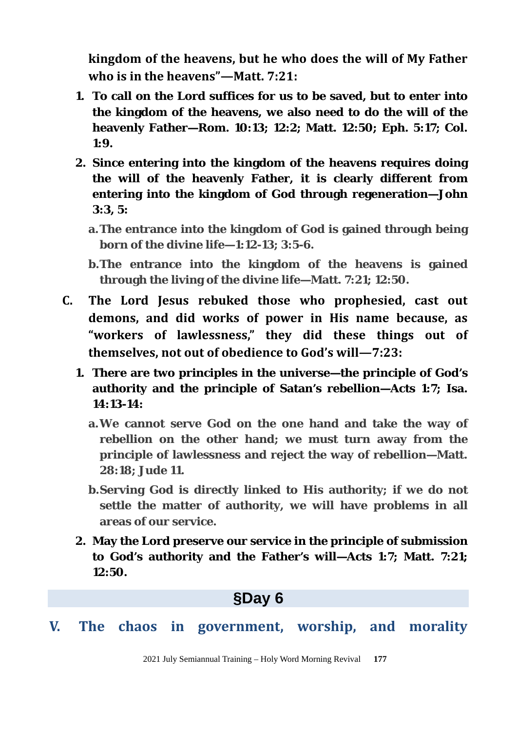**kingdom of the heavens, but he who does the will of My Father who is in the heavens"—Matt. 7:21:** 

- **1. To call on the Lord suffices for us to be saved, but to enter into the kingdom of the heavens, we also need to do the will of the heavenly Father—Rom. 10:13; 12:2; Matt. 12:50; Eph. 5:17; Col. 1:9.**
- **2. Since entering into the kingdom of the heavens requires doing the will of the heavenly Father, it is clearly different from entering into the kingdom of God through regeneration—John 3:3, 5:**
	- **a.The entrance into the kingdom of God is gained through being born of the divine life—1:12-13; 3:5-6.**
	- **b. The entrance into the kingdom of the heavens is gained through the living of the divine life—Matt. 7:21; 12:50.**
- **C. The Lord Jesus rebuked those who prophesied, cast out demons, and did works of power in His name because, as "workers of lawlessness," they did these things out of themselves, not out of obedience to God's will—7:23:** 
	- **1. There are two principles in the universe—the principle of God's authority and the principle of Satan's rebellion—Acts 1:7; Isa. 14:13-14:**
		- **a.We cannot serve God on the one hand and take the way of rebellion on the other hand; we must turn away from the principle of lawlessness and reject the way of rebellion—Matt. 28:18; Jude 11.**
		- **b. Serving God is directly linked to His authority; if we do not settle the matter of authority, we will have problems in all areas of our service.**
	- **2. May the Lord preserve our service in the principle of submission to God's authority and the Father's will—Acts 1:7; Matt. 7:21; 12:50.**

### **§Day 6**

**V. The chaos in government, worship, and morality**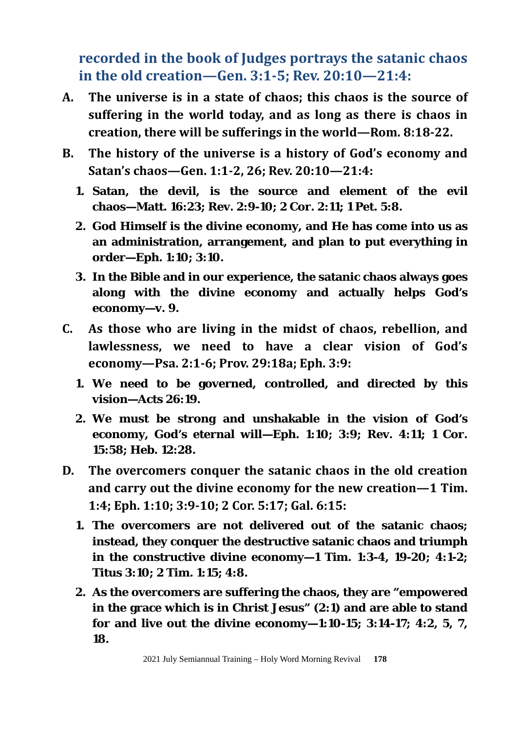**recorded in the book of Judges portrays the satanic chaos in the old creation—Gen. 3:1-5; Rev. 20:10—21:4:**

- **A. The universe is in a state of chaos; this chaos is the source of suffering in the world today, and as long as there is chaos in creation, there will be sufferings in the world—Rom. 8:18-22.**
- **B. The history of the universe is a history of God's economy and Satan's chaos—Gen. 1:1-2, 26; Rev. 20:10—21:4:** 
	- **1. Satan, the devil, is the source and element of the evil chaos—Matt. 16:23; Rev. 2:9-10; 2 Cor. 2:11; 1 Pet. 5:8.**
	- **2. God Himself is the divine economy, and He has come into us as an administration, arrangement, and plan to put everything in order—Eph. 1:10; 3:10.**
	- **3. In the Bible and in our experience, the satanic chaos always goes along with the divine economy and actually helps God's economy—v. 9.**
- **C. As those who are living in the midst of chaos, rebellion, and lawlessness, we need to have a clear vision of God's economy—Psa. 2:1-6; Prov. 29:18a; Eph. 3:9:** 
	- **1. We need to be governed, controlled, and directed by this vision—Acts 26:19.**
	- **2. We must be strong and unshakable in the vision of God's economy, God's eternal will—Eph. 1:10; 3:9; Rev. 4:11; 1 Cor. 15:58; Heb. 12:28.**
- **D. The overcomers conquer the satanic chaos in the old creation and carry out the divine economy for the new creation—1 Tim. 1:4; Eph. 1:10; 3:9-10; 2 Cor. 5:17; Gal. 6:15:** 
	- **1. The overcomers are not delivered out of the satanic chaos; instead, they conquer the destructive satanic chaos and triumph in the constructive divine economy—1 Tim. 1:3-4, 19-20; 4:1-2; Titus 3:10; 2 Tim. 1:15; 4:8.**
	- **2. As the overcomers are suffering the chaos, they are "empowered in the grace which is in Christ Jesus" (2:1) and are able to stand for and live out the divine economy—1:10-15; 3:14-17; 4:2, 5, 7, 18.**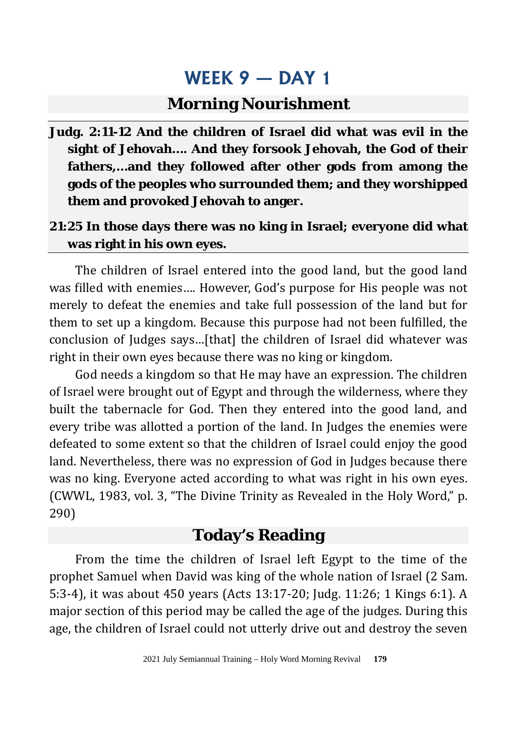## **Morning Nourishment**

**Judg. 2:11-12 And the children of Israel did what was evil in the sight of Jehovah…. And they forsook Jehovah, the God of their fathers,…and they followed after other gods from among the gods of the peoples who surrounded them; and they worshipped them and provoked Jehovah to anger.**

**21:25 In those days there was no king in Israel; everyone did what was right in his own eyes.**

The children of Israel entered into the good land, but the good land was filled with enemies…. However, God's purpose for His people was not merely to defeat the enemies and take full possession of the land but for them to set up a kingdom. Because this purpose had not been fulfilled, the conclusion of Judges says…[that] the children of Israel did whatever was right in their own eyes because there was no king or kingdom.

God needs a kingdom so that He may have an expression. The children of Israel were brought out of Egypt and through the wilderness, where they built the tabernacle for God. Then they entered into the good land, and every tribe was allotted a portion of the land. In Judges the enemies were defeated to some extent so that the children of Israel could enjoy the good land. Nevertheless, there was no expression of God in Judges because there was no king. Everyone acted according to what was right in his own eyes. (CWWL, 1983, vol. 3, "The Divine Trinity as Revealed in the Holy Word," p. 290)

# **Today's Reading**

From the time the children of Israel left Egypt to the time of the prophet Samuel when David was king of the whole nation of Israel (2 Sam. 5:3-4), it was about 450 years (Acts 13:17-20; Judg. 11:26; 1 Kings 6:1). A major section of this period may be called the age of the judges. During this age, the children of Israel could not utterly drive out and destroy the seven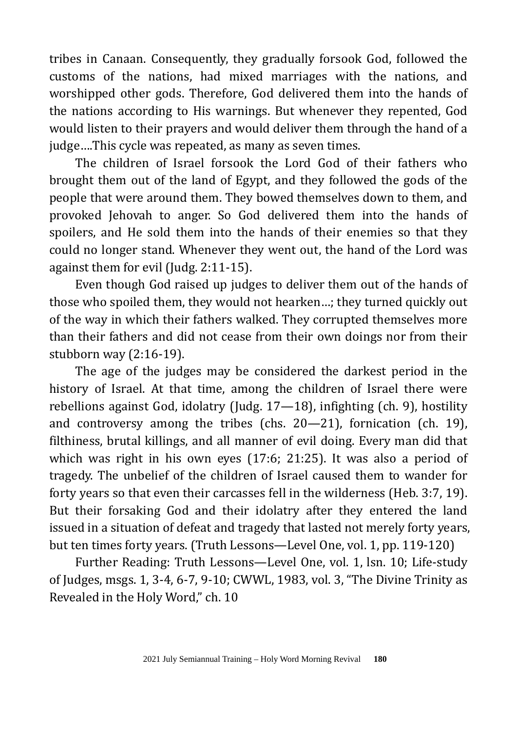tribes in Canaan. Consequently, they gradually forsook God, followed the customs of the nations, had mixed marriages with the nations, and worshipped other gods. Therefore, God delivered them into the hands of the nations according to His warnings. But whenever they repented, God would listen to their prayers and would deliver them through the hand of a judge….This cycle was repeated, as many as seven times.

The children of Israel forsook the Lord God of their fathers who brought them out of the land of Egypt, and they followed the gods of the people that were around them. They bowed themselves down to them, and provoked Jehovah to anger. So God delivered them into the hands of spoilers, and He sold them into the hands of their enemies so that they could no longer stand. Whenever they went out, the hand of the Lord was against them for evil (Judg. 2:11-15).

Even though God raised up judges to deliver them out of the hands of those who spoiled them, they would not hearken…; they turned quickly out of the way in which their fathers walked. They corrupted themselves more than their fathers and did not cease from their own doings nor from their stubborn way (2:16-19).

The age of the judges may be considered the darkest period in the history of Israel. At that time, among the children of Israel there were rebellions against God, idolatry (Judg. 17—18), infighting (ch. 9), hostility and controversy among the tribes (chs. 20—21), fornication (ch. 19), filthiness, brutal killings, and all manner of evil doing. Every man did that which was right in his own eyes (17:6; 21:25). It was also a period of tragedy. The unbelief of the children of Israel caused them to wander for forty years so that even their carcasses fell in the wilderness (Heb. 3:7, 19). But their forsaking God and their idolatry after they entered the land issued in a situation of defeat and tragedy that lasted not merely forty years, but ten times forty years. (Truth Lessons—Level One, vol. 1, pp. 119-120)

Further Reading: Truth Lessons—Level One, vol. 1, lsn. 10; Life-study of Judges, msgs. 1, 3-4, 6-7, 9-10; CWWL, 1983, vol. 3, "The Divine Trinity as Revealed in the Holy Word," ch. 10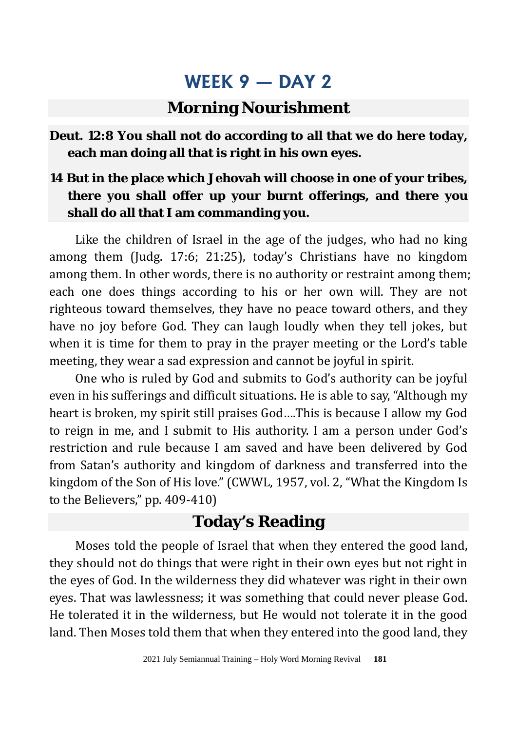### **Morning Nourishment**

#### **Deut. 12:8 You shall not do according to all that we do here today, each man doing all that is right in his own eyes.**

### **14 But in the place which Jehovah will choose in one of your tribes, there you shall offer up your burnt offerings, and there you shall do all that I am commanding you.**

Like the children of Israel in the age of the judges, who had no king among them (Judg. 17:6; 21:25), today's Christians have no kingdom among them. In other words, there is no authority or restraint among them; each one does things according to his or her own will. They are not righteous toward themselves, they have no peace toward others, and they have no joy before God. They can laugh loudly when they tell jokes, but when it is time for them to pray in the prayer meeting or the Lord's table meeting, they wear a sad expression and cannot be joyful in spirit.

One who is ruled by God and submits to God's authority can be joyful even in his sufferings and difficult situations. He is able to say, "Although my heart is broken, my spirit still praises God….This is because I allow my God to reign in me, and I submit to His authority. I am a person under God's restriction and rule because I am saved and have been delivered by God from Satan's authority and kingdom of darkness and transferred into the kingdom of the Son of His love." (CWWL, 1957, vol. 2, "What the Kingdom Is to the Believers," pp. 409-410)

## **Today's Reading**

Moses told the people of Israel that when they entered the good land, they should not do things that were right in their own eyes but not right in the eyes of God. In the wilderness they did whatever was right in their own eyes. That was lawlessness; it was something that could never please God. He tolerated it in the wilderness, but He would not tolerate it in the good land. Then Moses told them that when they entered into the good land, they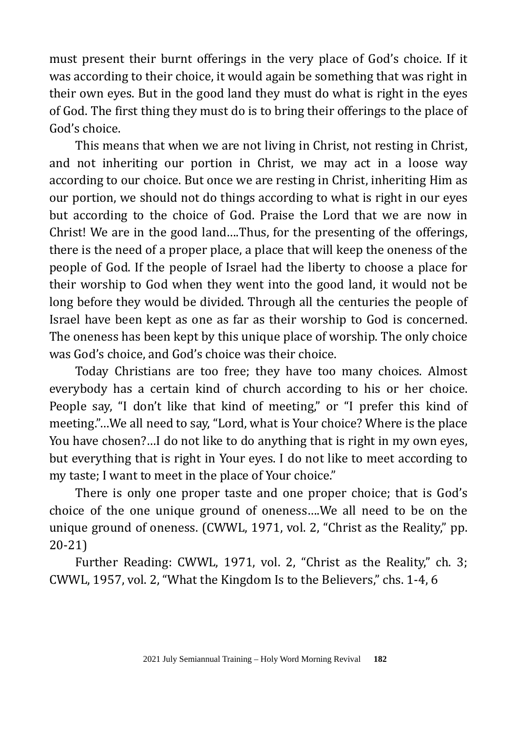must present their burnt offerings in the very place of God's choice. If it was according to their choice, it would again be something that was right in their own eyes. But in the good land they must do what is right in the eyes of God. The first thing they must do is to bring their offerings to the place of God's choice.

This means that when we are not living in Christ, not resting in Christ, and not inheriting our portion in Christ, we may act in a loose way according to our choice. But once we are resting in Christ, inheriting Him as our portion, we should not do things according to what is right in our eyes but according to the choice of God. Praise the Lord that we are now in Christ! We are in the good land….Thus, for the presenting of the offerings, there is the need of a proper place, a place that will keep the oneness of the people of God. If the people of Israel had the liberty to choose a place for their worship to God when they went into the good land, it would not be long before they would be divided. Through all the centuries the people of Israel have been kept as one as far as their worship to God is concerned. The oneness has been kept by this unique place of worship. The only choice was God's choice, and God's choice was their choice.

Today Christians are too free; they have too many choices. Almost everybody has a certain kind of church according to his or her choice. People say, "I don't like that kind of meeting," or "I prefer this kind of meeting."…We all need to say, "Lord, what is Your choice? Where is the place You have chosen?…I do not like to do anything that is right in my own eyes, but everything that is right in Your eyes. I do not like to meet according to my taste; I want to meet in the place of Your choice."

There is only one proper taste and one proper choice; that is God's choice of the one unique ground of oneness….We all need to be on the unique ground of oneness. (CWWL, 1971, vol. 2, "Christ as the Reality," pp. 20-21)

Further Reading: CWWL, 1971, vol. 2, "Christ as the Reality," ch. 3; CWWL, 1957, vol. 2, "What the Kingdom Is to the Believers," chs. 1-4, 6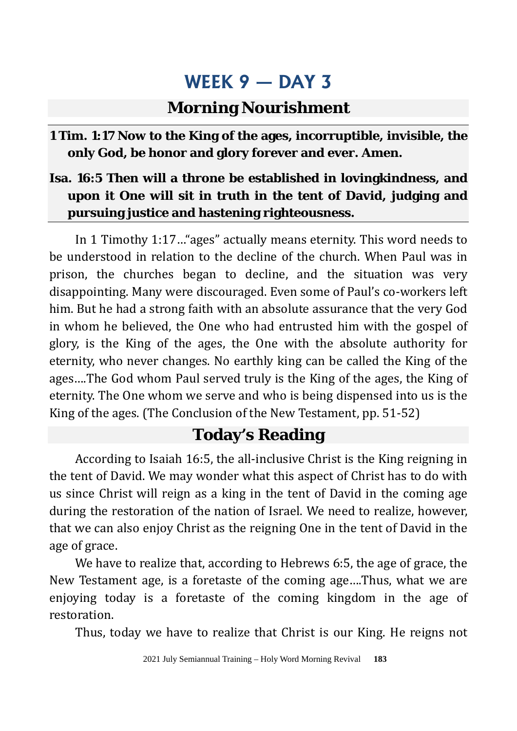### **Morning Nourishment**

#### **1 Tim. 1:17 Now to the King of the ages, incorruptible, invisible, the only God, be honor and glory forever and ever. Amen.**

### **Isa. 16:5 Then will a throne be established in lovingkindness, and upon it One will sit in truth in the tent of David, judging and pursuing justice and hastening righteousness.**

In 1 Timothy 1:17…"ages" actually means eternity. This word needs to be understood in relation to the decline of the church. When Paul was in prison, the churches began to decline, and the situation was very disappointing. Many were discouraged. Even some of Paul's co-workers left him. But he had a strong faith with an absolute assurance that the very God in whom he believed, the One who had entrusted him with the gospel of glory, is the King of the ages, the One with the absolute authority for eternity, who never changes. No earthly king can be called the King of the ages….The God whom Paul served truly is the King of the ages, the King of eternity. The One whom we serve and who is being dispensed into us is the King of the ages. (The Conclusion of the New Testament, pp. 51-52)

## **Today's Reading**

According to Isaiah 16:5, the all-inclusive Christ is the King reigning in the tent of David. We may wonder what this aspect of Christ has to do with us since Christ will reign as a king in the tent of David in the coming age during the restoration of the nation of Israel. We need to realize, however, that we can also enjoy Christ as the reigning One in the tent of David in the age of grace.

We have to realize that, according to Hebrews 6:5, the age of grace, the New Testament age, is a foretaste of the coming age….Thus, what we are enjoying today is a foretaste of the coming kingdom in the age of restoration.

Thus, today we have to realize that Christ is our King. He reigns not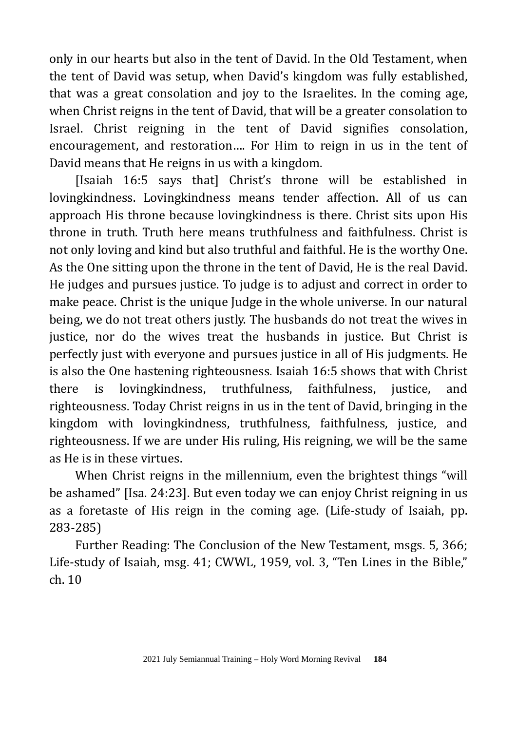only in our hearts but also in the tent of David. In the Old Testament, when the tent of David was setup, when David's kingdom was fully established, that was a great consolation and joy to the Israelites. In the coming age, when Christ reigns in the tent of David, that will be a greater consolation to Israel. Christ reigning in the tent of David signifies consolation, encouragement, and restoration…. For Him to reign in us in the tent of David means that He reigns in us with a kingdom.

[Isaiah 16:5 says that] Christ's throne will be established in lovingkindness. Lovingkindness means tender affection. All of us can approach His throne because lovingkindness is there. Christ sits upon His throne in truth. Truth here means truthfulness and faithfulness. Christ is not only loving and kind but also truthful and faithful. He is the worthy One. As the One sitting upon the throne in the tent of David, He is the real David. He judges and pursues justice. To judge is to adjust and correct in order to make peace. Christ is the unique Judge in the whole universe. In our natural being, we do not treat others justly. The husbands do not treat the wives in justice, nor do the wives treat the husbands in justice. But Christ is perfectly just with everyone and pursues justice in all of His judgments. He is also the One hastening righteousness. Isaiah 16:5 shows that with Christ there is lovingkindness, truthfulness, faithfulness, justice, and righteousness. Today Christ reigns in us in the tent of David, bringing in the kingdom with lovingkindness, truthfulness, faithfulness, justice, and righteousness. If we are under His ruling, His reigning, we will be the same as He is in these virtues.

When Christ reigns in the millennium, even the brightest things "will be ashamed" [Isa. 24:23]. But even today we can enjoy Christ reigning in us as a foretaste of His reign in the coming age. (Life-study of Isaiah, pp. 283-285)

Further Reading: The Conclusion of the New Testament, msgs. 5, 366; Life-study of Isaiah, msg. 41; CWWL, 1959, vol. 3, "Ten Lines in the Bible," ch. 10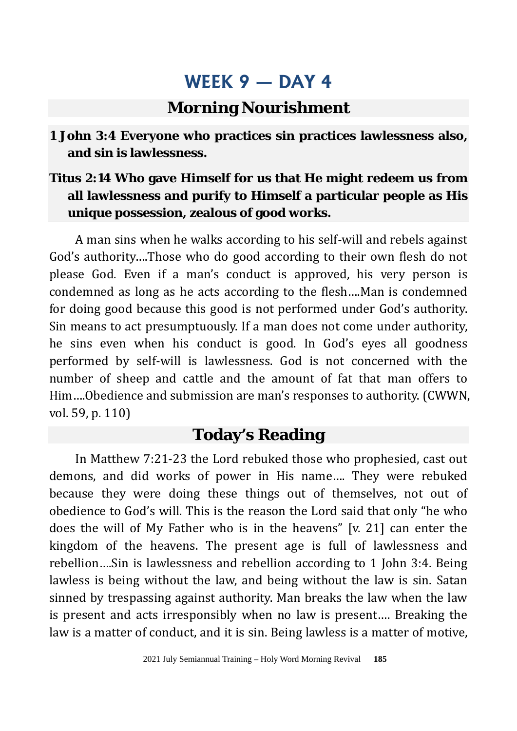## **Morning Nourishment**

**1 John 3:4 Everyone who practices sin practices lawlessness also, and sin is lawlessness.**

### **Titus 2:14 Who gave Himself for us that He might redeem us from all lawlessness and purify to Himself a particular people as His unique possession, zealous of good works.**

A man sins when he walks according to his self-will and rebels against God's authority….Those who do good according to their own flesh do not please God. Even if a man's conduct is approved, his very person is condemned as long as he acts according to the flesh….Man is condemned for doing good because this good is not performed under God's authority. Sin means to act presumptuously. If a man does not come under authority, he sins even when his conduct is good. In God's eyes all goodness performed by self-will is lawlessness. God is not concerned with the number of sheep and cattle and the amount of fat that man offers to Him….Obedience and submission are man's responses to authority. (CWWN, vol. 59, p. 110)

### **Today's Reading**

In Matthew 7:21-23 the Lord rebuked those who prophesied, cast out demons, and did works of power in His name…. They were rebuked because they were doing these things out of themselves, not out of obedience to God's will. This is the reason the Lord said that only "he who does the will of My Father who is in the heavens" [v. 21] can enter the kingdom of the heavens. The present age is full of lawlessness and rebellion….Sin is lawlessness and rebellion according to 1 John 3:4. Being lawless is being without the law, and being without the law is sin. Satan sinned by trespassing against authority. Man breaks the law when the law is present and acts irresponsibly when no law is present…. Breaking the law is a matter of conduct, and it is sin. Being lawless is a matter of motive,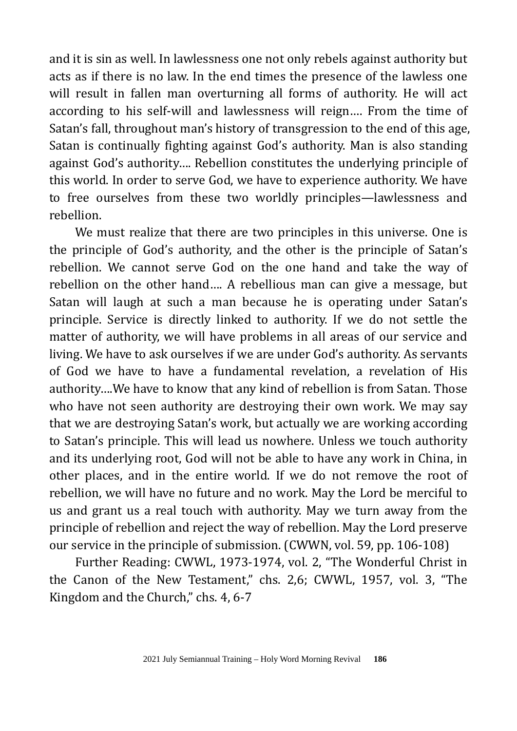and it is sin as well. In lawlessness one not only rebels against authority but acts as if there is no law. In the end times the presence of the lawless one will result in fallen man overturning all forms of authority. He will act according to his self-will and lawlessness will reign…. From the time of Satan's fall, throughout man's history of transgression to the end of this age, Satan is continually fighting against God's authority. Man is also standing against God's authority…. Rebellion constitutes the underlying principle of this world. In order to serve God, we have to experience authority. We have to free ourselves from these two worldly principles—lawlessness and rebellion.

We must realize that there are two principles in this universe. One is the principle of God's authority, and the other is the principle of Satan's rebellion. We cannot serve God on the one hand and take the way of rebellion on the other hand…. A rebellious man can give a message, but Satan will laugh at such a man because he is operating under Satan's principle. Service is directly linked to authority. If we do not settle the matter of authority, we will have problems in all areas of our service and living. We have to ask ourselves if we are under God's authority. As servants of God we have to have a fundamental revelation, a revelation of His authority….We have to know that any kind of rebellion is from Satan. Those who have not seen authority are destroying their own work. We may say that we are destroying Satan's work, but actually we are working according to Satan's principle. This will lead us nowhere. Unless we touch authority and its underlying root, God will not be able to have any work in China, in other places, and in the entire world. If we do not remove the root of rebellion, we will have no future and no work. May the Lord be merciful to us and grant us a real touch with authority. May we turn away from the principle of rebellion and reject the way of rebellion. May the Lord preserve our service in the principle of submission. (CWWN, vol. 59, pp. 106-108)

Further Reading: CWWL, 1973-1974, vol. 2, "The Wonderful Christ in the Canon of the New Testament," chs. 2,6; CWWL, 1957, vol. 3, "The Kingdom and the Church," chs. 4, 6-7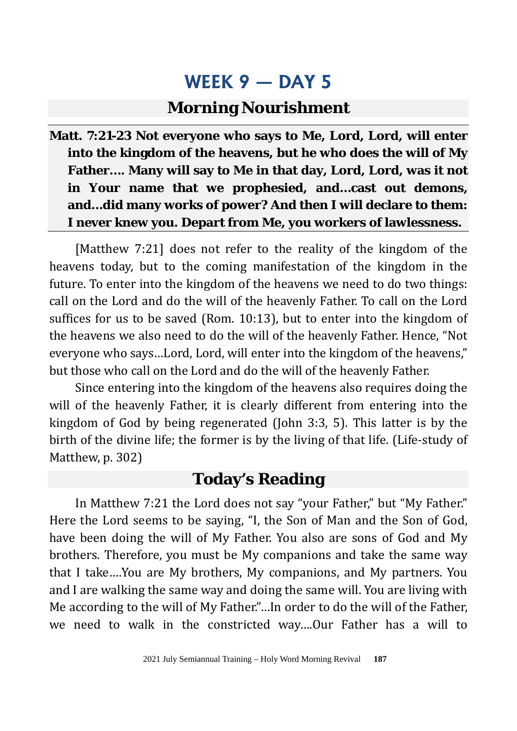# **Morning Nourishment**

**Matt. 7:21-23 Not everyone who says to Me, Lord, Lord, will enter into the kingdom of the heavens, but he who does the will of My Father…. Many will say to Me in that day, Lord, Lord, was it not in Your name that we prophesied, and…cast out demons, and…did many works of power? And then I will declare to them: I never knew you. Depart from Me, you workers of lawlessness.**

[Matthew 7:21] does not refer to the reality of the kingdom of the heavens today, but to the coming manifestation of the kingdom in the future. To enter into the kingdom of the heavens we need to do two things: call on the Lord and do the will of the heavenly Father. To call on the Lord suffices for us to be saved (Rom. 10:13), but to enter into the kingdom of the heavens we also need to do the will of the heavenly Father. Hence, "Not everyone who says…Lord, Lord, will enter into the kingdom of the heavens," but those who call on the Lord and do the will of the heavenly Father.

Since entering into the kingdom of the heavens also requires doing the will of the heavenly Father, it is clearly different from entering into the kingdom of God by being regenerated (John 3:3, 5). This latter is by the birth of the divine life; the former is by the living of that life. (Life-study of Matthew, p. 302)

### **Today's Reading**

In Matthew 7:21 the Lord does not say "your Father," but "My Father." Here the Lord seems to be saying, "I, the Son of Man and the Son of God, have been doing the will of My Father. You also are sons of God and My brothers. Therefore, you must be My companions and take the same way that I take….You are My brothers, My companions, and My partners. You and I are walking the same way and doing the same will. You are living with Me according to the will of My Father."…In order to do the will of the Father, we need to walk in the constricted way….Our Father has a will to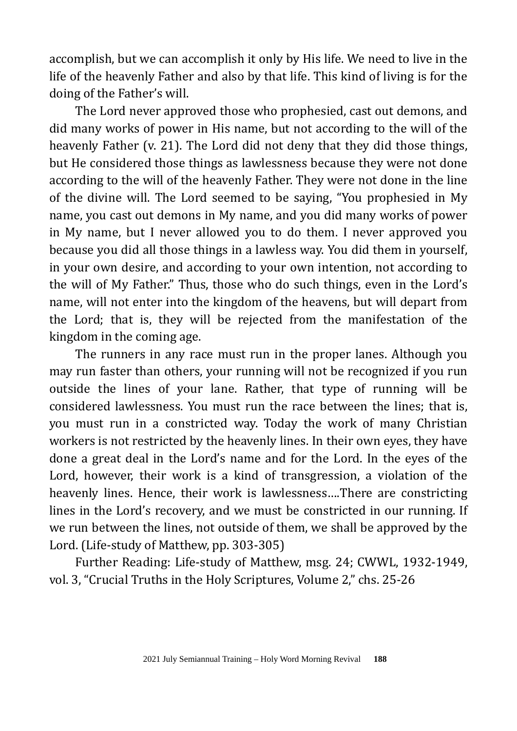accomplish, but we can accomplish it only by His life. We need to live in the life of the heavenly Father and also by that life. This kind of living is for the doing of the Father's will.

The Lord never approved those who prophesied, cast out demons, and did many works of power in His name, but not according to the will of the heavenly Father (v. 21). The Lord did not deny that they did those things, but He considered those things as lawlessness because they were not done according to the will of the heavenly Father. They were not done in the line of the divine will. The Lord seemed to be saying, "You prophesied in My name, you cast out demons in My name, and you did many works of power in My name, but I never allowed you to do them. I never approved you because you did all those things in a lawless way. You did them in yourself, in your own desire, and according to your own intention, not according to the will of My Father." Thus, those who do such things, even in the Lord's name, will not enter into the kingdom of the heavens, but will depart from the Lord; that is, they will be rejected from the manifestation of the kingdom in the coming age.

The runners in any race must run in the proper lanes. Although you may run faster than others, your running will not be recognized if you run outside the lines of your lane. Rather, that type of running will be considered lawlessness. You must run the race between the lines; that is, you must run in a constricted way. Today the work of many Christian workers is not restricted by the heavenly lines. In their own eyes, they have done a great deal in the Lord's name and for the Lord. In the eyes of the Lord, however, their work is a kind of transgression, a violation of the heavenly lines. Hence, their work is lawlessness….There are constricting lines in the Lord's recovery, and we must be constricted in our running. If we run between the lines, not outside of them, we shall be approved by the Lord. (Life-study of Matthew, pp. 303-305)

Further Reading: Life-study of Matthew, msg. 24; CWWL, 1932-1949, vol. 3, "Crucial Truths in the Holy Scriptures, Volume 2," chs. 25-26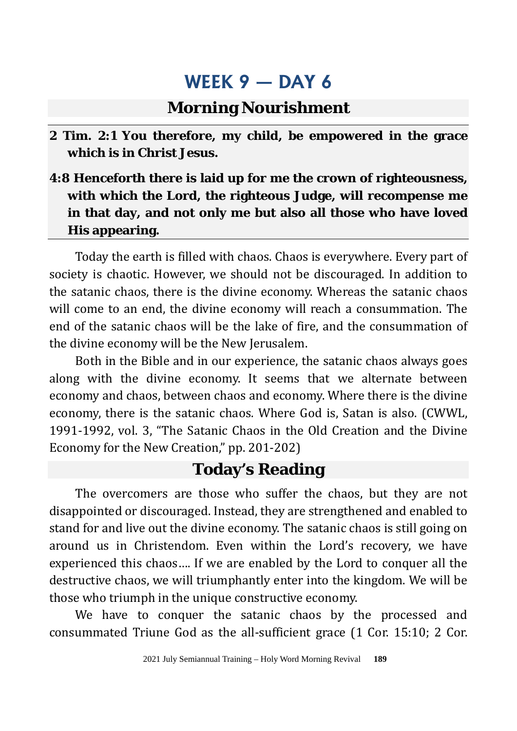### **Morning Nourishment**

- **2 Tim. 2:1 You therefore, my child, be empowered in the grace which is in Christ Jesus.**
- **4:8 Henceforth there is laid up for me the crown of righteousness, with which the Lord, the righteous Judge, will recompense me in that day, and not only me but also all those who have loved His appearing.**

Today the earth is filled with chaos. Chaos is everywhere. Every part of society is chaotic. However, we should not be discouraged. In addition to the satanic chaos, there is the divine economy. Whereas the satanic chaos will come to an end, the divine economy will reach a consummation. The end of the satanic chaos will be the lake of fire, and the consummation of the divine economy will be the New Jerusalem.

Both in the Bible and in our experience, the satanic chaos always goes along with the divine economy. It seems that we alternate between economy and chaos, between chaos and economy. Where there is the divine economy, there is the satanic chaos. Where God is, Satan is also. (CWWL, 1991-1992, vol. 3, "The Satanic Chaos in the Old Creation and the Divine Economy for the New Creation," pp. 201-202)

## **Today's Reading**

The overcomers are those who suffer the chaos, but they are not disappointed or discouraged. Instead, they are strengthened and enabled to stand for and live out the divine economy. The satanic chaos is still going on around us in Christendom. Even within the Lord's recovery, we have experienced this chaos…. If we are enabled by the Lord to conquer all the destructive chaos, we will triumphantly enter into the kingdom. We will be those who triumph in the unique constructive economy.

We have to conquer the satanic chaos by the processed and consummated Triune God as the all-sufficient grace (1 Cor. 15:10; 2 Cor.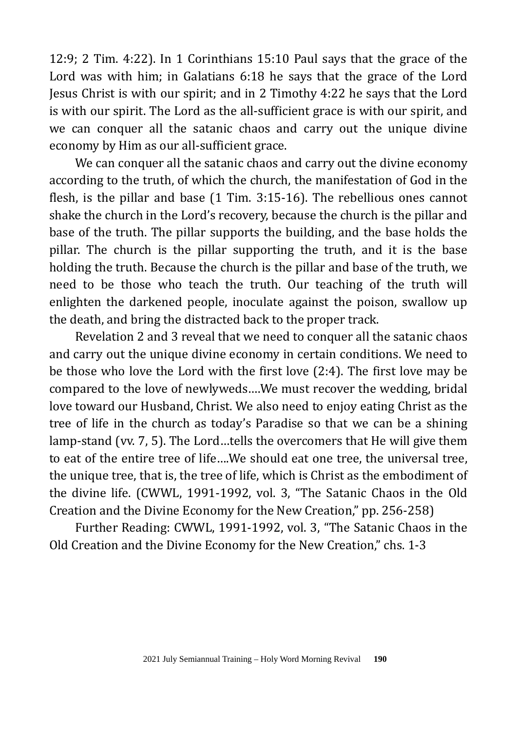12:9; 2 Tim. 4:22). In 1 Corinthians 15:10 Paul says that the grace of the Lord was with him; in Galatians 6:18 he says that the grace of the Lord Jesus Christ is with our spirit; and in 2 Timothy 4:22 he says that the Lord is with our spirit. The Lord as the all-sufficient grace is with our spirit, and we can conquer all the satanic chaos and carry out the unique divine economy by Him as our all-sufficient grace.

We can conquer all the satanic chaos and carry out the divine economy according to the truth, of which the church, the manifestation of God in the flesh, is the pillar and base (1 Tim. 3:15-16). The rebellious ones cannot shake the church in the Lord's recovery, because the church is the pillar and base of the truth. The pillar supports the building, and the base holds the pillar. The church is the pillar supporting the truth, and it is the base holding the truth. Because the church is the pillar and base of the truth, we need to be those who teach the truth. Our teaching of the truth will enlighten the darkened people, inoculate against the poison, swallow up the death, and bring the distracted back to the proper track.

Revelation 2 and 3 reveal that we need to conquer all the satanic chaos and carry out the unique divine economy in certain conditions. We need to be those who love the Lord with the first love (2:4). The first love may be compared to the love of newlyweds….We must recover the wedding, bridal love toward our Husband, Christ. We also need to enjoy eating Christ as the tree of life in the church as today's Paradise so that we can be a shining lamp-stand (vv. 7, 5). The Lord…tells the overcomers that He will give them to eat of the entire tree of life….We should eat one tree, the universal tree, the unique tree, that is, the tree of life, which is Christ as the embodiment of the divine life. (CWWL, 1991-1992, vol. 3, "The Satanic Chaos in the Old Creation and the Divine Economy for the New Creation," pp. 256-258)

Further Reading: CWWL, 1991-1992, vol. 3, "The Satanic Chaos in the Old Creation and the Divine Economy for the New Creation," chs. 1-3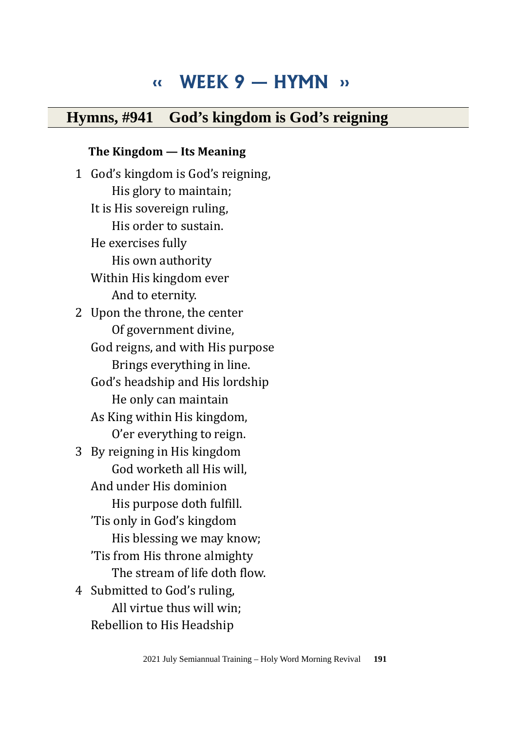# **‹‹ WEEK 9 — HYMN ››**

#### **Hymns, #941 God's kingdom is God's reigning**

#### **The Kingdom — Its Meaning**

1 God's kingdom is God's reigning, His glory to maintain; It is His sovereign ruling, His order to sustain. He exercises fully His own authority Within His kingdom ever And to eternity. 2 Upon the throne, the center Of government divine, God reigns, and with His purpose Brings everything in line. God's headship and His lordship He only can maintain As King within His kingdom, O'er everything to reign. 3 By reigning in His kingdom God worketh all His will, And under His dominion His purpose doth fulfill. 'Tis only in God's kingdom His blessing we may know; 'Tis from His throne almighty The stream of life doth flow. 4 Submitted to God's ruling, All virtue thus will win; Rebellion to His Headship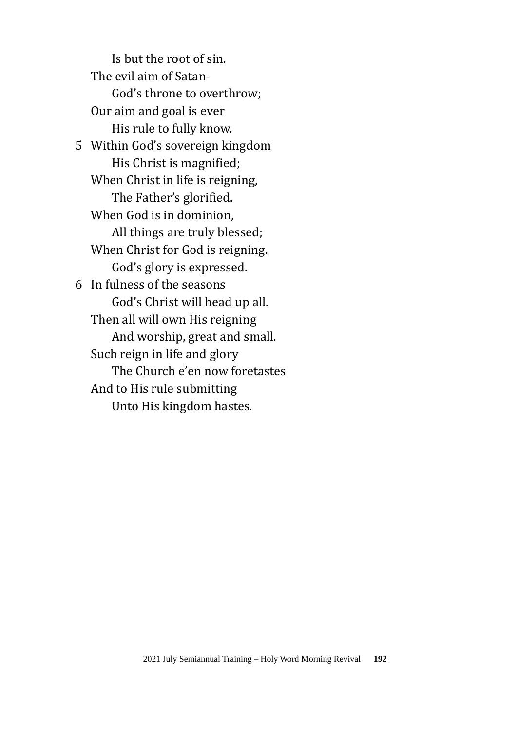Is but the root of sin. The evil aim of Satan- God's throne to overthrow; Our aim and goal is ever His rule to fully know. 5 Within God's sovereign kingdom His Christ is magnified; When Christ in life is reigning, The Father's glorified. When God is in dominion, All things are truly blessed; When Christ for God is reigning. God's glory is expressed. 6 In fulness of the seasons God's Christ will head up all. Then all will own His reigning And worship, great and small. Such reign in life and glory The Church e'en now foretastes And to His rule submitting Unto His kingdom hastes.